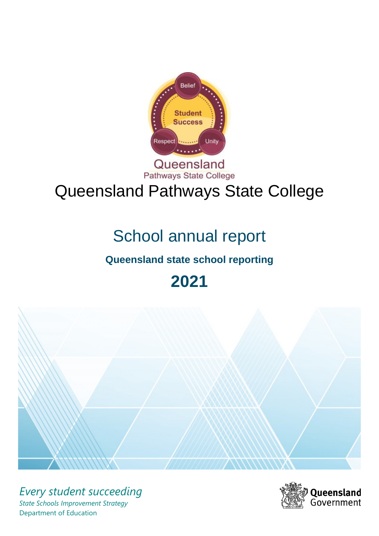

## Queensland Pathways State College

# Queensland Pathways State College

# School annual report

## **Queensland state school reporting**

## **2021**



*Every student succeeding State Schools Improvement Strategy* Department of Education

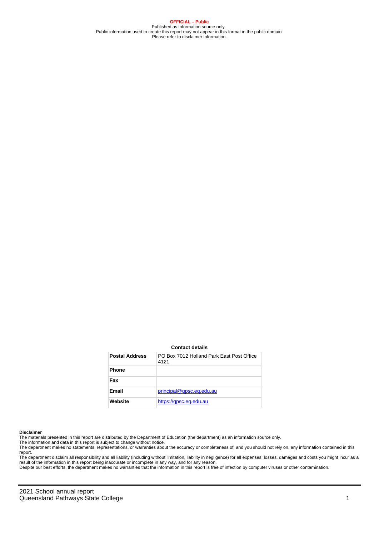**OFFICIAL – Public** Published as information source only. Public information used to create this report may not appear in this format in the public domain Please refer to disclaimer information.

#### **Contact details**

| <b>Postal Address</b> | PO Box 7012 Holland Park Fast Post Office<br>4121 |
|-----------------------|---------------------------------------------------|
| <b>Phone</b>          |                                                   |
| Fax                   |                                                   |
| Email                 | principal@gpsc.eq.edu.au                          |
| Website               | https://gpsc.eg.edu.au                            |

#### **Disclaimer**

The materials presented in this report are distributed by the Department of Education (the department) as an information source only.

The information and data in this report is subject to change without notice.

The department makes no statements, representations, or warranties about the accuracy or completeness of, and you should not rely on, any information contained in this report.

The department disclaim all responsibility and all liability (including without limitation, liability in negligence) for all expenses, losses, damages and costs you might incur as a<br>result of the information in this report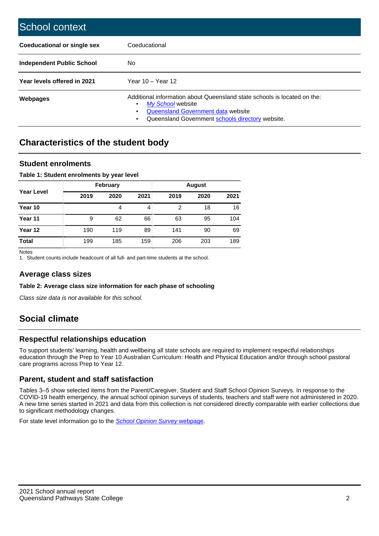| School context                   |                                                                                                                                                                                              |
|----------------------------------|----------------------------------------------------------------------------------------------------------------------------------------------------------------------------------------------|
| Coeducational or single sex      | Coeducational                                                                                                                                                                                |
| <b>Independent Public School</b> | No.                                                                                                                                                                                          |
| Year levels offered in 2021      | Year $10 -$ Year $12$                                                                                                                                                                        |
| Webpages                         | Additional information about Queensland state schools is located on the:<br>My School website<br>Queensland Government data website<br>Queensland Government schools directory website.<br>٠ |

## **Characteristics of the student body**

#### **Student enrolments**

#### **Table 1: Student enrolments by year level**

|                   |      | February |      |      |      |      |
|-------------------|------|----------|------|------|------|------|
| <b>Year Level</b> | 2019 | 2020     | 2021 | 2019 | 2020 | 2021 |
| Year 10           |      | 4        | 4    | 2    | 18   | 16   |
| Year 11           | 9    | 62       | 66   | 63   | 95   | 104  |
| Year 12           | 190  | 119      | 89   | 141  | 90   | 69   |
| <b>Total</b>      | 199  | 185      | 159  | 206  | 203  | 189  |

Notes

1. Student counts include headcount of all full- and part-time students at the school.

#### **Average class sizes**

**Table 2: Average class size information for each phase of schooling**

Class size data is not available for this school.

## **Social climate**

#### **Respectful relationships education**

To support students' learning, health and wellbeing all state schools are required to implement respectful relationships education through the Prep to Year 10 Australian Curriculum: Health and Physical Education and/or through school pastoral care programs across Prep to Year 12.

#### **Parent, student and staff satisfaction**

Tables 3–5 show selected items from the Parent/Caregiver, Student and Staff School Opinion Surveys. In response to the COVID-19 health emergency, the annual school opinion surveys of students, teachers and staff were not administered in 2020. A new time series started in 2021 and data from this collection is not considered directly comparable with earlier collections due to significant methodology changes.

For state level information go to the **[School Opinion Survey](https://qed.qld.gov.au/publications/reports/statistics/schooling/schools/schoolopinionsurvey) webpage**.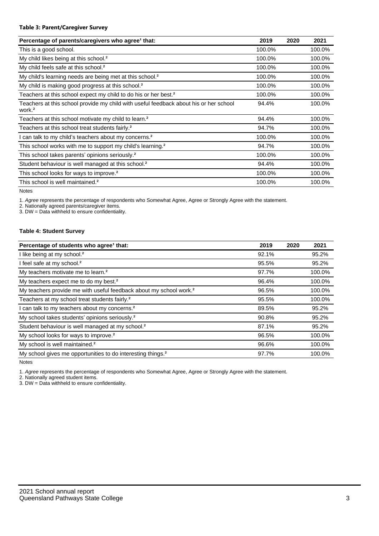#### **Table 3: Parent/Caregiver Survey**

| Percentage of parents/caregivers who agree <sup>1</sup> that:                                               | 2019   | 2020 | 2021   |
|-------------------------------------------------------------------------------------------------------------|--------|------|--------|
| This is a good school.                                                                                      | 100.0% |      | 100.0% |
| My child likes being at this school. <sup>2</sup>                                                           | 100.0% |      | 100.0% |
| My child feels safe at this school. <sup>2</sup>                                                            | 100.0% |      | 100.0% |
| My child's learning needs are being met at this school. <sup>2</sup>                                        | 100.0% |      | 100.0% |
| My child is making good progress at this school. <sup>2</sup>                                               | 100.0% |      | 100.0% |
| Teachers at this school expect my child to do his or her best. <sup>2</sup>                                 | 100.0% |      | 100.0% |
| Teachers at this school provide my child with useful feedback about his or her school<br>work. <sup>2</sup> | 94.4%  |      | 100.0% |
| Teachers at this school motivate my child to learn. <sup>2</sup>                                            | 94.4%  |      | 100.0% |
| Teachers at this school treat students fairly. <sup>2</sup>                                                 | 94.7%  |      | 100.0% |
| can talk to my child's teachers about my concerns. <sup>2</sup>                                             | 100.0% |      | 100.0% |
| This school works with me to support my child's learning. <sup>2</sup>                                      | 94.7%  |      | 100.0% |
| This school takes parents' opinions seriously. <sup>2</sup>                                                 | 100.0% |      | 100.0% |
| Student behaviour is well managed at this school. <sup>2</sup>                                              | 94.4%  |      | 100.0% |
| This school looks for ways to improve. <sup>2</sup>                                                         | 100.0% |      | 100.0% |
| This school is well maintained. <sup>2</sup>                                                                | 100.0% |      | 100.0% |

Notes

1. Agree represents the percentage of respondents who Somewhat Agree, Agree or Strongly Agree with the statement.

2. Nationally agreed parents/caregiver items.

3. DW = Data withheld to ensure confidentiality.

#### **Table 4: Student Survey**

| Percentage of students who agree <sup>1</sup> that:                            | 2019  | 2020 | 2021   |
|--------------------------------------------------------------------------------|-------|------|--------|
| I like being at my school. <sup>2</sup>                                        | 92.1% |      | 95.2%  |
| I feel safe at my school. <sup>2</sup>                                         | 95.5% |      | 95.2%  |
| My teachers motivate me to learn. <sup>2</sup>                                 | 97.7% |      | 100.0% |
| My teachers expect me to do my best. <sup>2</sup>                              | 96.4% |      | 100.0% |
| My teachers provide me with useful feedback about my school work. <sup>2</sup> | 96.5% |      | 100.0% |
| Teachers at my school treat students fairly. <sup>2</sup>                      | 95.5% |      | 100.0% |
| I can talk to my teachers about my concerns. <sup>2</sup>                      | 89.5% |      | 95.2%  |
| My school takes students' opinions seriously. <sup>2</sup>                     | 90.8% |      | 95.2%  |
| Student behaviour is well managed at my school. <sup>2</sup>                   | 87.1% |      | 95.2%  |
| My school looks for ways to improve. <sup>2</sup>                              | 96.5% |      | 100.0% |
| My school is well maintained. <sup>2</sup>                                     | 96.6% |      | 100.0% |
| My school gives me opportunities to do interesting things. <sup>2</sup>        | 97.7% |      | 100.0% |

Notes

1. Agree represents the percentage of respondents who Somewhat Agree, Agree or Strongly Agree with the statement.

2. Nationally agreed student items.

3. DW = Data withheld to ensure confidentiality.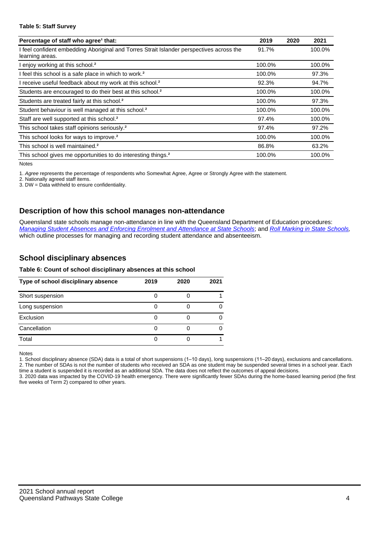#### **Table 5: Staff Survey**

| Percentage of staff who agree <sup>1</sup> that:                                                            | 2019   | 2020 | 2021   |
|-------------------------------------------------------------------------------------------------------------|--------|------|--------|
| I feel confident embedding Aboriginal and Torres Strait Islander perspectives across the<br>learning areas. | 91.7%  |      | 100.0% |
| I enjoy working at this school. <sup>2</sup>                                                                | 100.0% |      | 100.0% |
| I feel this school is a safe place in which to work. <sup>2</sup>                                           | 100.0% |      | 97.3%  |
| I receive useful feedback about my work at this school. <sup>2</sup>                                        | 92.3%  |      | 94.7%  |
| Students are encouraged to do their best at this school. <sup>2</sup>                                       | 100.0% |      | 100.0% |
| Students are treated fairly at this school. <sup>2</sup>                                                    | 100.0% |      | 97.3%  |
| Student behaviour is well managed at this school. <sup>2</sup>                                              | 100.0% |      | 100.0% |
| Staff are well supported at this school. <sup>2</sup>                                                       | 97.4%  |      | 100.0% |
| This school takes staff opinions seriously. <sup>2</sup>                                                    | 97.4%  |      | 97.2%  |
| This school looks for ways to improve. <sup>2</sup>                                                         | 100.0% |      | 100.0% |
| This school is well maintained. <sup>2</sup>                                                                | 86.8%  |      | 63.2%  |
| This school gives me opportunities to do interesting things. <sup>2</sup>                                   | 100.0% |      | 100.0% |

Notes

1. Agree represents the percentage of respondents who Somewhat Agree, Agree or Strongly Agree with the statement.

2. Nationally agreed staff items.

3. DW = Data withheld to ensure confidentiality.

#### **Description of how this school manages non-attendance**

Queensland state schools manage non-attendance in line with the Queensland Department of Education procedures: [Managing Student Absences and Enforcing Enrolment and Attendance at State Schools](https://ppr.qed.qld.gov.au/pp/managing-student-absences-and-enforcing-enrolment-and-attendance-at-state-schools-procedure); and [Roll Marking in State Schools,](https://ppr.qed.qld.gov.au/pp/roll-marking-in-state-schools-procedure) which outline processes for managing and recording student attendance and absenteeism.

#### **School disciplinary absences**

#### **Table 6: Count of school disciplinary absences at this school**

| Type of school disciplinary absence | 2019 | 2020 | 2021 |
|-------------------------------------|------|------|------|
| Short suspension                    |      |      |      |
| Long suspension                     |      |      |      |
| Exclusion                           |      |      |      |
| Cancellation                        |      |      |      |
| Total                               |      |      |      |

Notes

1. School disciplinary absence (SDA) data is a total of short suspensions (1–10 days), long suspensions (11–20 days), exclusions and cancellations. 2. The number of SDAs is not the number of students who received an SDA as one student may be suspended several times in a school year. Each time a student is suspended it is recorded as an additional SDA. The data does not reflect the outcomes of appeal decisions.

3. 2020 data was impacted by the COVID-19 health emergency. There were significantly fewer SDAs during the home-based learning period (the first five weeks of Term 2) compared to other years.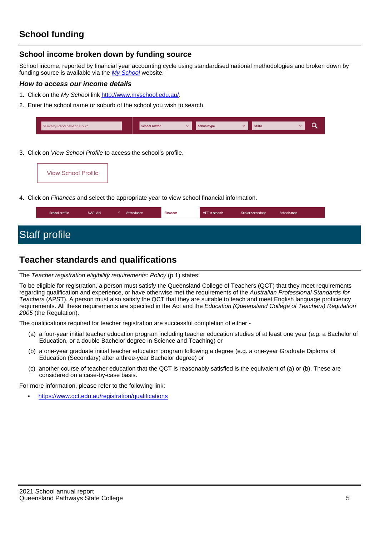### **School income broken down by funding source**

School income, reported by financial year accounting cycle using standardised national methodologies and broken down by funding source is available via the [My School](http://www.myschool.edu.au/) website.

#### **How to access our income details**

- 1. Click on the My School link <http://www.myschool.edu.au/>.
- 2. Enter the school name or suburb of the school you wish to search.

| Search by school name or suburb | <b>School sector</b> | hool type | <b>State</b> |  |
|---------------------------------|----------------------|-----------|--------------|--|
|                                 |                      |           |              |  |

3. Click on *View School Profile* to access the school's profile.

4. Click on Finances and select the appropriate year to view school financial information.

| <b>Staff profile</b> | School profile | <b>NAPLAN</b> | $\checkmark$ | Attendance | <b>Finances</b> | VET in schools | Senior secondary | Schools map |
|----------------------|----------------|---------------|--------------|------------|-----------------|----------------|------------------|-------------|
|                      |                |               |              |            |                 |                |                  |             |
|                      |                |               |              |            |                 |                |                  |             |

## **Teacher standards and qualifications**

The Teacher registration eligibility requirements: Policy (p.1) states:

To be eligible for registration, a person must satisfy the Queensland College of Teachers (QCT) that they meet requirements regarding qualification and experience, or have otherwise met the requirements of the Australian Professional Standards for Teachers (APST). A person must also satisfy the QCT that they are suitable to teach and meet English language proficiency requirements. All these requirements are specified in the Act and the Education (Queensland College of Teachers) Regulation 2005 (the Regulation).

The qualifications required for teacher registration are successful completion of either -

- (a) a four-year initial teacher education program including teacher education studies of at least one year (e.g. a Bachelor of Education, or a double Bachelor degree in Science and Teaching) or
- (b) a one-year graduate initial teacher education program following a degree (e.g. a one-year Graduate Diploma of Education (Secondary) after a three-year Bachelor degree) or
- (c) another course of teacher education that the QCT is reasonably satisfied is the equivalent of (a) or (b). These are considered on a case-by-case basis.

For more information, please refer to the following link:

• <https://www.qct.edu.au/registration/qualifications>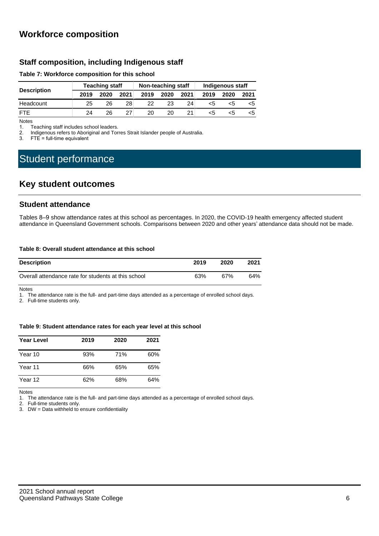### **Workforce composition**

#### **Staff composition, including Indigenous staff**

#### **Table 7: Workforce composition for this school**

|                    | <b>Teaching staff</b> |      |      |      | Non-teaching staff |      | Indigenous staff |      |      |
|--------------------|-----------------------|------|------|------|--------------------|------|------------------|------|------|
| <b>Description</b> | 2019                  | 2020 | 2021 | 2019 | 2020               | 2021 | 2019             | 2020 | 2021 |
| Headcount          | 25                    | 26   | 28.  | 22   | 23                 | 24   | כ>               | <5   |      |
| <b>FTF</b>         | 24                    | 26   |      | 20   | 20                 |      | <5               |      | <5   |

Notes<br>1. T

Teaching staff includes school leaders.

2. Indigenous refers to Aboriginal and Torres Strait Islander people of Australia.<br>3. ETF = full-time equivalent

 $FTE = full-time equivalent$ 

## Student performance

### **Key student outcomes**

#### **Student attendance**

Tables 8–9 show attendance rates at this school as percentages. In 2020, the COVID-19 health emergency affected student attendance in Queensland Government schools. Comparisons between 2020 and other years' attendance data should not be made.

#### **Table 8: Overall student attendance at this school**

| <b>Description</b>                                  | 2019 | 2020 | 2021 |
|-----------------------------------------------------|------|------|------|
| Overall attendance rate for students at this school | 63%  | 67%  | 64%  |

Notes

1. The attendance rate is the full- and part-time days attended as a percentage of enrolled school days.

2. Full-time students only.

#### **Table 9: Student attendance rates for each year level at this school**

| <b>Year Level</b> | 2019 | 2020 | 2021 |
|-------------------|------|------|------|
| Year 10           | 93%  | 71%  | 60%  |
| Year 11           | 66%  | 65%  | 65%  |
| Year 12           | 62%  | 68%  | 64%  |

Notes

1. The attendance rate is the full- and part-time days attended as a percentage of enrolled school days.<br>2. Full-time students only.

Full-time students only.

3. DW = Data withheld to ensure confidentiality